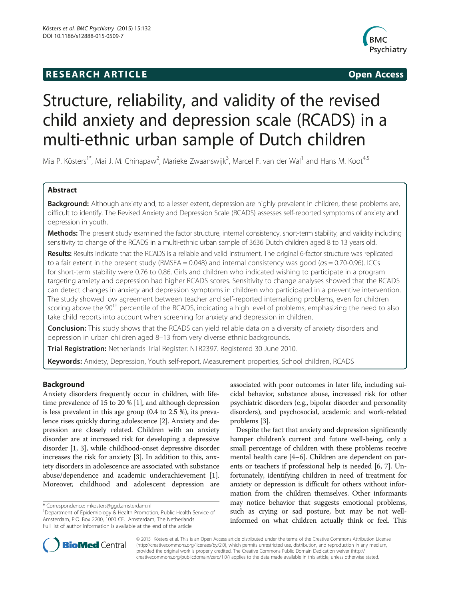# **RESEARCH ARTICLE Example 2014 CONSIDERING CONSIDERING CONSIDERING CONSIDERING CONSIDERING CONSIDERING CONSIDERING CONSIDERING CONSIDERING CONSIDERING CONSIDERING CONSIDERING CONSIDERING CONSIDERING CONSIDERING CONSIDE**



# Structure, reliability, and validity of the revised child anxiety and depression scale (RCADS) in a multi-ethnic urban sample of Dutch children

Mia P. Kösters<sup>1\*</sup>, Mai J. M. Chinapaw<sup>2</sup>, Marieke Zwaanswijk<sup>3</sup>, Marcel F. van der Wal<sup>1</sup> and Hans M. Koot<sup>4,5</sup>

# Abstract

Background: Although anxiety and, to a lesser extent, depression are highly prevalent in children, these problems are, difficult to identify. The Revised Anxiety and Depression Scale (RCADS) assesses self-reported symptoms of anxiety and depression in youth.

Methods: The present study examined the factor structure, internal consistency, short-term stability, and validity including sensitivity to change of the RCADS in a multi-ethnic urban sample of 3636 Dutch children aged 8 to 13 years old.

Results: Results indicate that the RCADS is a reliable and valid instrument. The original 6-factor structure was replicated to a fair extent in the present study (RMSEA = 0.048) and internal consistency was good (αs = 0.70-0.96). ICCs for short-term stability were 0.76 to 0.86. Girls and children who indicated wishing to participate in a program targeting anxiety and depression had higher RCADS scores. Sensitivity to change analyses showed that the RCADS can detect changes in anxiety and depression symptoms in children who participated in a preventive intervention. The study showed low agreement between teacher and self-reported internalizing problems, even for children scoring above the 90<sup>th</sup> percentile of the RCADS, indicating a high level of problems, emphasizing the need to also take child reports into account when screening for anxiety and depression in children.

**Conclusion:** This study shows that the RCADS can yield reliable data on a diversity of anxiety disorders and depression in urban children aged 8–13 from very diverse ethnic backgrounds.

Trial Registration: Netherlands Trial Register: [NTR2397](http://www.trialregister.nl/trialreg/admin/rctview.asp?TC=2397). Registered 30 June 2010.

Keywords: Anxiety, Depression, Youth self-report, Measurement properties, School children, RCADS

# Background

Anxiety disorders frequently occur in children, with lifetime prevalence of 15 to 20 % [\[1](#page-6-0)], and although depression is less prevalent in this age group (0.4 to 2.5 %), its prevalence rises quickly during adolescence [[2\]](#page-7-0). Anxiety and depression are closely related. Children with an anxiety disorder are at increased risk for developing a depressive disorder [\[1](#page-6-0), [3](#page-7-0)], while childhood-onset depressive disorder increases the risk for anxiety [[3](#page-7-0)]. In addition to this, anxiety disorders in adolescence are associated with substance abuse/dependence and academic underachievement [[1](#page-6-0)]. Moreover, childhood and adolescent depression are

associated with poor outcomes in later life, including suicidal behavior, substance abuse, increased risk for other psychiatric disorders (e.g., bipolar disorder and personality disorders), and psychosocial, academic and work-related problems [[3\]](#page-7-0).

Despite the fact that anxiety and depression significantly hamper children's current and future well-being, only a small percentage of children with these problems receive mental health care [\[4](#page-7-0)–[6](#page-7-0)]. Children are dependent on parents or teachers if professional help is needed [[6, 7](#page-7-0)]. Unfortunately, identifying children in need of treatment for anxiety or depression is difficult for others without information from the children themselves. Other informants may notice behavior that suggests emotional problems, such as crying or sad posture, but may be not wellinformed on what children actually think or feel. This



© 2015 Kösters et al. This is an Open Access article distributed under the terms of the Creative Commons Attribution License [\(http://creativecommons.org/licenses/by/2.0\)](http://creativecommons.org/licenses/by/2.0), which permits unrestricted use, distribution, and reproduction in any medium, provided the original work is properly credited. The Creative Commons Public Domain Dedication waiver [\(http://](http://creativecommons.org/publicdomain/zero/1.0/) [creativecommons.org/publicdomain/zero/1.0/\)](http://creativecommons.org/publicdomain/zero/1.0/) applies to the data made available in this article, unless otherwise stated.

<sup>\*</sup> Correspondence: [mkosters@ggd.amsterdam.nl](mailto:mkosters@ggd.amsterdam.nl) <sup>1</sup>

<sup>&</sup>lt;sup>1</sup>Department of Epidemiology & Health Promotion, Public Health Service of Amsterdam, P.O. Box 2200, 1000 CE, Amsterdam, The Netherlands Full list of author information is available at the end of the article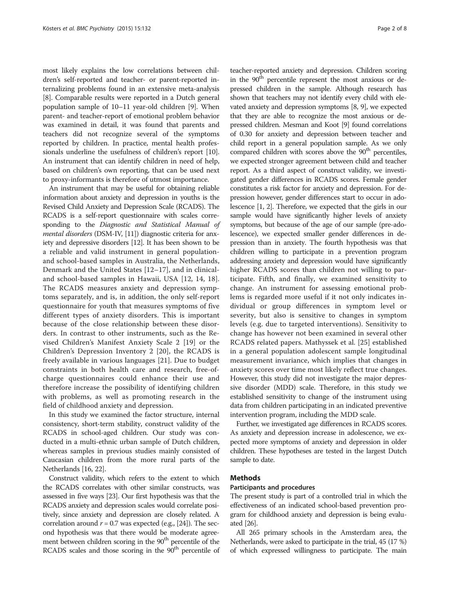most likely explains the low correlations between children's self-reported and teacher- or parent-reported internalizing problems found in an extensive meta-analysis [[8\]](#page-7-0). Comparable results were reported in a Dutch general population sample of 10–11 year-old children [\[9\]](#page-7-0). When parent- and teacher-report of emotional problem behavior was examined in detail, it was found that parents and teachers did not recognize several of the symptoms reported by children. In practice, mental health professionals underline the usefulness of children's report [[10](#page-7-0)]. An instrument that can identify children in need of help, based on children's own reporting, that can be used next to proxy-informants is therefore of utmost importance.

An instrument that may be useful for obtaining reliable information about anxiety and depression in youths is the Revised Child Anxiety and Depression Scale (RCADS). The RCADS is a self-report questionnaire with scales corresponding to the Diagnostic and Statistical Manual of mental disorders (DSM-IV, [\[11\]](#page-7-0)) diagnostic criteria for anxiety and depressive disorders [\[12\]](#page-7-0). It has been shown to be a reliable and valid instrument in general populationand school-based samples in Australia, the Netherlands, Denmark and the United States [[12](#page-7-0)–[17](#page-7-0)], and in clinicaland school-based samples in Hawaii, USA [\[12](#page-7-0), [14](#page-7-0), [18](#page-7-0)]. The RCADS measures anxiety and depression symptoms separately, and is, in addition, the only self-report questionnaire for youth that measures symptoms of five different types of anxiety disorders. This is important because of the close relationship between these disorders. In contrast to other instruments, such as the Revised Children's Manifest Anxiety Scale 2 [[19\]](#page-7-0) or the Children's Depression Inventory 2 [\[20](#page-7-0)], the RCADS is freely available in various languages [[21](#page-7-0)]. Due to budget constraints in both health care and research, free-ofcharge questionnaires could enhance their use and therefore increase the possibility of identifying children with problems, as well as promoting research in the field of childhood anxiety and depression.

In this study we examined the factor structure, internal consistency, short-term stability, construct validity of the RCADS in school-aged children. Our study was conducted in a multi-ethnic urban sample of Dutch children, whereas samples in previous studies mainly consisted of Caucasian children from the more rural parts of the Netherlands [\[16, 22](#page-7-0)].

Construct validity, which refers to the extent to which the RCADS correlates with other similar constructs, was assessed in five ways [[23](#page-7-0)]. Our first hypothesis was that the RCADS anxiety and depression scales would correlate positively, since anxiety and depression are closely related. A correlation around  $r = 0.7$  was expected (e.g., [[24](#page-7-0)]). The second hypothesis was that there would be moderate agreement between children scoring in the 90<sup>th</sup> percentile of the RCADS scales and those scoring in the  $90<sup>th</sup>$  percentile of

teacher-reported anxiety and depression. Children scoring in the 90<sup>th</sup> percentile represent the most anxious or depressed children in the sample. Although research has shown that teachers may not identify every child with elevated anxiety and depression symptoms [[8](#page-7-0), [9](#page-7-0)], we expected that they are able to recognize the most anxious or depressed children. Mesman and Koot [\[9\]](#page-7-0) found correlations of 0.30 for anxiety and depression between teacher and child report in a general population sample. As we only compared children with scores above the 90<sup>th</sup> percentiles, we expected stronger agreement between child and teacher report. As a third aspect of construct validity, we investigated gender differences in RCADS scores. Female gender constitutes a risk factor for anxiety and depression. For depression however, gender differences start to occur in adolescence [\[1,](#page-6-0) [2\]](#page-7-0). Therefore, we expected that the girls in our sample would have significantly higher levels of anxiety symptoms, but because of the age of our sample (pre-adolescence), we expected smaller gender differences in depression than in anxiety. The fourth hypothesis was that children willing to participate in a prevention program addressing anxiety and depression would have significantly higher RCADS scores than children not willing to participate. Fifth, and finally, we examined sensitivity to change. An instrument for assessing emotional problems is regarded more useful if it not only indicates individual or group differences in symptom level or severity, but also is sensitive to changes in symptom levels (e.g. due to targeted interventions). Sensitivity to change has however not been examined in several other RCADS related papers. Mathyssek et al. [[25\]](#page-7-0) established in a general population adolescent sample longitudinal measurement invariance, which implies that changes in anxiety scores over time most likely reflect true changes. However, this study did not investigate the major depressive disorder (MDD) scale. Therefore, in this study we established sensitivity to change of the instrument using data from children participating in an indicated preventive intervention program, including the MDD scale.

Further, we investigated age differences in RCADS scores. As anxiety and depression increase in adolescence, we expected more symptoms of anxiety and depression in older children. These hypotheses are tested in the largest Dutch sample to date.

# Methods

# Participants and procedures

The present study is part of a controlled trial in which the effectiveness of an indicated school-based prevention program for childhood anxiety and depression is being evaluated [[26](#page-7-0)].

All 265 primary schools in the Amsterdam area, the Netherlands, were asked to participate in the trial, 45 (17 %) of which expressed willingness to participate. The main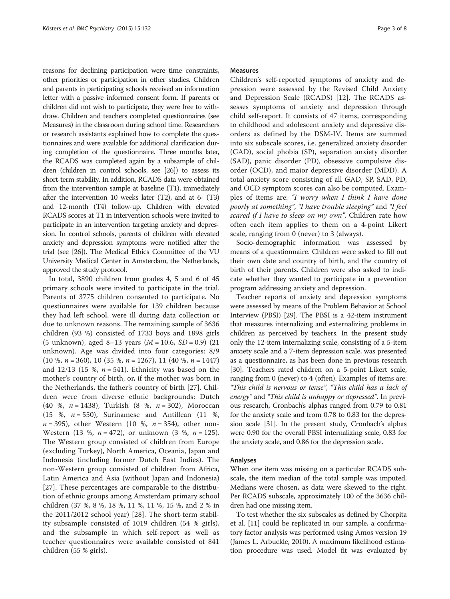reasons for declining participation were time constraints, other priorities or participation in other studies. Children and parents in participating schools received an information letter with a passive informed consent form. If parents or children did not wish to participate, they were free to withdraw. Children and teachers completed questionnaires (see Measures) in the classroom during school time. Researchers or research assistants explained how to complete the questionnaires and were available for additional clarification during completion of the questionnaire. Three months later, the RCADS was completed again by a subsample of children (children in control schools, see [\[26\]](#page-7-0)) to assess its short-term stability. In addition, RCADS data were obtained from the intervention sample at baseline (T1), immediately after the intervention 10 weeks later (T2), and at 6- (T3) and 12-month (T4) follow-up. Children with elevated RCADS scores at T1 in intervention schools were invited to participate in an intervention targeting anxiety and depression. In control schools, parents of children with elevated anxiety and depression symptoms were notified after the trial (see [\[26](#page-7-0)]). The Medical Ethics Committee of the VU University Medical Center in Amsterdam, the Netherlands, approved the study protocol.

In total, 3890 children from grades 4, 5 and 6 of 45 primary schools were invited to participate in the trial. Parents of 3775 children consented to participate. No questionnaires were available for 139 children because they had left school, were ill during data collection or due to unknown reasons. The remaining sample of 3636 children (93 %) consisted of 1733 boys and 1898 girls (5 unknown), aged 8–13 years  $(M = 10.6, SD = 0.9)$  (21) unknown). Age was divided into four categories: 8/9 (10 %,  $n = 360$ ), 10 (35 %,  $n = 1267$ ), 11 (40 %,  $n = 1447$ ) and 12/13 (15 %,  $n = 541$ ). Ethnicity was based on the mother's country of birth, or, if the mother was born in the Netherlands, the father's country of birth [[27](#page-7-0)]. Children were from diverse ethnic backgrounds: Dutch (40 %, n = 1438), Turkish (8 %, n = 302), Moroccan (15 %,  $n = 550$ ), Surinamese and Antillean (11 %,  $n = 395$ ), other Western (10 %,  $n = 354$ ), other non-Western (13 %,  $n = 472$ ), or unknown (3 %,  $n = 125$ ). The Western group consisted of children from Europe (excluding Turkey), North America, Oceania, Japan and Indonesia (including former Dutch East Indies). The non-Western group consisted of children from Africa, Latin America and Asia (without Japan and Indonesia) [[27\]](#page-7-0). These percentages are comparable to the distribution of ethnic groups among Amsterdam primary school children (37 %, 8 %, 18 %, 11 %, 11 %, 15 %, and 2 % in the 2011/2012 school year) [[28\]](#page-7-0). The short-term stability subsample consisted of 1019 children (54 % girls), and the subsample in which self-report as well as teacher questionnaires were available consisted of 841 children (55 % girls).

#### Measures

Children's self-reported symptoms of anxiety and depression were assessed by the Revised Child Anxiety and Depression Scale (RCADS) [\[12](#page-7-0)]. The RCADS assesses symptoms of anxiety and depression through child self-report. It consists of 47 items, corresponding to childhood and adolescent anxiety and depressive disorders as defined by the DSM-IV. Items are summed into six subscale scores, i.e. generalized anxiety disorder (GAD), social phobia (SP), separation anxiety disorder (SAD), panic disorder (PD), obsessive compulsive disorder (OCD), and major depressive disorder (MDD). A total anxiety score consisting of all GAD, SP, SAD, PD, and OCD symptom scores can also be computed. Examples of items are: "I worry when I think I have done poorly at something", "I have trouble sleeping" and "I feel scared if I have to sleep on my own". Children rate how often each item applies to them on a 4-point Likert scale, ranging from 0 (never) to 3 (always).

Socio-demographic information was assessed by means of a questionnaire. Children were asked to fill out their own date and country of birth, and the country of birth of their parents. Children were also asked to indicate whether they wanted to participate in a prevention program addressing anxiety and depression.

Teacher reports of anxiety and depression symptoms were assessed by means of the Problem Behavior at School Interview (PBSI) [\[29\]](#page-7-0). The PBSI is a 42-item instrument that measures internalizing and externalizing problems in children as perceived by teachers. In the present study only the 12-item internalizing scale, consisting of a 5-item anxiety scale and a 7-item depression scale, was presented as a questionnaire, as has been done in previous research [[30](#page-7-0)]. Teachers rated children on a 5-point Likert scale, ranging from 0 (never) to 4 (often). Examples of items are: "This child is nervous or tense", "This child has a lack of energy" and "This child is unhappy or depressed". In previous research, Cronbach's alphas ranged from 0.79 to 0.81 for the anxiety scale and from 0.78 to 0.83 for the depression scale [[31](#page-7-0)]. In the present study, Cronbach's alphas were 0.90 for the overall PBSI internalizing scale, 0.83 for the anxiety scale, and 0.86 for the depression scale.

#### Analyses

When one item was missing on a particular RCADS subscale, the item median of the total sample was imputed. Medians were chosen, as data were skewed to the right. Per RCADS subscale, approximately 100 of the 3636 children had one missing item.

To test whether the six subscales as defined by Chorpita et al. [\[11\]](#page-7-0) could be replicated in our sample, a confirmatory factor analysis was performed using Amos version 19 (James L. Arbuckle, 2010). A maximum likelihood estimation procedure was used. Model fit was evaluated by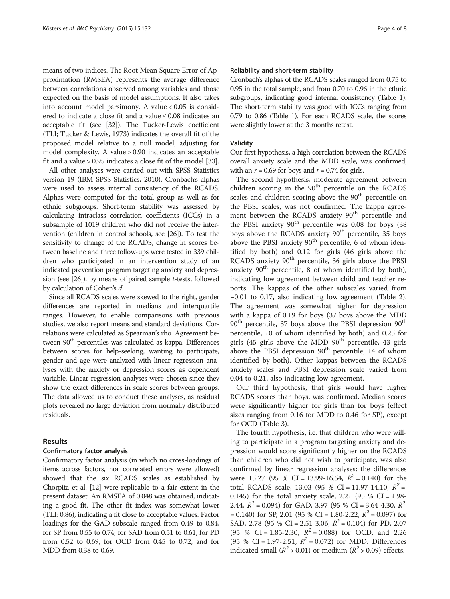means of two indices. The Root Mean Square Error of Approximation (RMSEA) represents the average difference between correlations observed among variables and those expected on the basis of model assumptions. It also takes into account model parsimony. A value < 0.05 is considered to indicate a close fit and a value ≤ 0.08 indicates an acceptable fit (see [\[32\]](#page-7-0)). The Tucker-Lewis coefficient (TLI; Tucker & Lewis, 1973) indicates the overall fit of the proposed model relative to a null model, adjusting for model complexity. A value > 0.90 indicates an acceptable fit and a value > 0.95 indicates a close fit of the model [\[33](#page-7-0)].

All other analyses were carried out with SPSS Statistics version 19 (IBM SPSS Statistics, 2010). Cronbach's alphas were used to assess internal consistency of the RCADS. Alphas were computed for the total group as well as for ethnic subgroups. Short-term stability was assessed by calculating intraclass correlation coefficients (ICCs) in a subsample of 1019 children who did not receive the intervention (children in control schools, see [[26](#page-7-0)]). To test the sensitivity to change of the RCADS, change in scores between baseline and three follow-ups were tested in 339 children who participated in an intervention study of an indicated prevention program targeting anxiety and depression (see  $[26]$ ), by means of paired sample *t*-tests, followed by calculation of Cohen's d.

Since all RCADS scales were skewed to the right, gender differences are reported in medians and interquartile ranges. However, to enable comparisons with previous studies, we also report means and standard deviations. Correlations were calculated as Spearman's rho. Agreement between 90<sup>th</sup> percentiles was calculated as kappa. Differences between scores for help-seeking, wanting to participate, gender and age were analyzed with linear regression analyses with the anxiety or depression scores as dependent variable. Linear regression analyses were chosen since they show the exact differences in scale scores between groups. The data allowed us to conduct these analyses, as residual plots revealed no large deviation from normally distributed residuals.

# Results

### Confirmatory factor analysis

Confirmatory factor analysis (in which no cross-loadings of items across factors, nor correlated errors were allowed) showed that the six RCADS scales as established by Chorpita et al. [[12](#page-7-0)] were replicable to a fair extent in the present dataset. An RMSEA of 0.048 was obtained, indicating a good fit. The other fit index was somewhat lower (TLI: 0.86), indicating a fit close to acceptable values. Factor loadings for the GAD subscale ranged from 0.49 to 0.84, for SP from 0.55 to 0.74, for SAD from 0.51 to 0.61, for PD from 0.52 to 0.69, for OCD from 0.45 to 0.72, and for MDD from 0.38 to 0.69.

#### Reliability and short-term stability

Cronbach's alphas of the RCADS scales ranged from 0.75 to 0.95 in the total sample, and from 0.70 to 0.96 in the ethnic subgroups, indicating good internal consistency (Table [1](#page-4-0)). The short-term stability was good with ICCs ranging from 0.79 to 0.86 (Table [1](#page-4-0)). For each RCADS scale, the scores were slightly lower at the 3 months retest.

#### Validity

Our first hypothesis, a high correlation between the RCADS overall anxiety scale and the MDD scale, was confirmed, with an  $r = 0.69$  for boys and  $r = 0.74$  for girls.

The second hypothesis, moderate agreement between children scoring in the  $90<sup>th</sup>$  percentile on the RCADS scales and children scoring above the 90<sup>th</sup> percentile on the PBSI scales, was not confirmed. The kappa agreement between the RCADS anxiety 90<sup>th</sup> percentile and the PBSI anxiety  $90<sup>th</sup>$  percentile was 0.08 for boys (38 boys above the RCADS anxiety 90<sup>th</sup> percentile, 35 boys above the PBSI anxiety  $90<sup>th</sup>$  percentile, 6 of whom identified by both) and 0.12 for girls (46 girls above the RCADS anxiety 90<sup>th</sup> percentile, 36 girls above the PBSI anxiety  $90<sup>th</sup>$  percentile, 8 of whom identified by both), indicating low agreement between child and teacher reports. The kappas of the other subscales varied from −0.01 to 0.17, also indicating low agreement (Table [2](#page-4-0)). The agreement was somewhat higher for depression with a kappa of 0.19 for boys (37 boys above the MDD  $90<sup>th</sup>$  percentile, 37 boys above the PBSI depression  $90<sup>th</sup>$ percentile, 10 of whom identified by both) and 0.25 for girls (45 girls above the MDD  $90<sup>th</sup>$  percentile, 43 girls above the PBSI depression  $90<sup>th</sup>$  percentile, 14 of whom identified by both). Other kappas between the RCADS anxiety scales and PBSI depression scale varied from 0.04 to 0.21, also indicating low agreement.

Our third hypothesis, that girls would have higher RCADS scores than boys, was confirmed. Median scores were significantly higher for girls than for boys (effect sizes ranging from 0.16 for MDD to 0.46 for SP), except for OCD (Table [3\)](#page-5-0).

The fourth hypothesis, i.e. that children who were willing to participate in a program targeting anxiety and depression would score significantly higher on the RCADS than children who did not wish to participate, was also confirmed by linear regression analyses: the differences were 15.27 (95 % CI = 13.99-16.54,  $R^2 = 0.140$ ) for the total RCADS scale, 13.03 (95 % CI = 11.97-14.10,  $R^2$  = 0.145) for the total anxiety scale, 2.21 (95 % CI =  $1.98$ -2.44,  $R^2 = 0.094$ ) for GAD, 3.97 (95 % CI = 3.64-4.30,  $R^2$  $= 0.140$ ) for SP, 2.01 (95 % CI  $= 1.80 - 2.22$ ,  $R^2 = 0.097$ ) for SAD, 2.78 (95 % CI = 2.51-3.06,  $R^2$  = 0.104) for PD, 2.07 (95 % CI = 1.85-2.30,  $R^2$  = 0.088) for OCD, and 2.26 (95 % CI = 1.97-2.51,  $R^2 = 0.072$ ) for MDD. Differences indicated small ( $R^2$  > 0.01) or medium ( $R^2$  > 0.09) effects.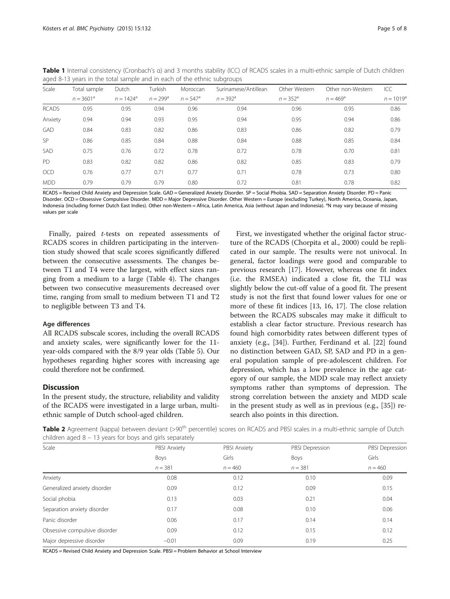|              | $\overline{\phantom{a}}$ |                    |                   |                   |                      |                   |                   |              |
|--------------|--------------------------|--------------------|-------------------|-------------------|----------------------|-------------------|-------------------|--------------|
| Scale        | Total sample             | Dutch              | Turkish           | Moroccan          | Surinamese/Antillean | Other Western     | Other non-Western | ICC          |
|              | $n = 3601^a$             | $n = 1424^{\circ}$ | $n = 299^{\circ}$ | $n = 547^{\circ}$ | $n = 392^{\circ}$    | $n = 352^{\circ}$ | $n = 469^{\circ}$ | $n = 1019^a$ |
| <b>RCADS</b> | 0.95                     | 0.95               | 0.94              | 0.96              | 0.94                 | 0.96              | 0.95              | 0.86         |
| Anxiety      | 0.94                     | 0.94               | 0.93              | 0.95              | 0.94                 | 0.95              | 0.94              | 0.86         |
| <b>GAD</b>   | 0.84                     | 0.83               | 0.82              | 0.86              | 0.83                 | 0.86              | 0.82              | 0.79         |
| <b>SP</b>    | 0.86                     | 0.85               | 0.84              | 0.88              | 0.84                 | 0.88              | 0.85              | 0.84         |
| SAD          | 0.75                     | 0.76               | 0.72              | 0.78              | 0.72                 | 0.78              | 0.70              | 0.81         |
| PD           | 0.83                     | 0.82               | 0.82              | 0.86              | 0.82                 | 0.85              | 0.83              | 0.79         |
| <b>OCD</b>   | 0.76                     | 0.77               | 0.71              | 0.77              | 0.71                 | 0.78              | 0.73              | 0.80         |
| <b>MDD</b>   | 0.79                     | 0.79               | 0.79              | 0.80              | 0.72                 | 0.81              | 0.78              | 0.82         |

<span id="page-4-0"></span>Table 1 Internal consistency (Cronbach's a) and 3 months stability (ICC) of RCADS scales in a multi-ethnic sample of Dutch children aged 8-13 years in the total sample and in each of the ethnic subgroups

RCADS = Revised Child Anxiety and Depression Scale. GAD = Generalized Anxiety Disorder. SP = Social Phobia. SAD = Separation Anxiety Disorder. PD = Panic Disorder. OCD = Obsessive Compulsive Disorder. MDD = Major Depressive Disorder. Other Western = Europe (excluding Turkey), North America, Oceania, Japan, Indonesia (including former Dutch East Indies). Other non-Western = Africa, Latin America, Asia (without Japan and Indonesia). <sup>a</sup>N may vary because of missing values per scale

Finally, paired t-tests on repeated assessments of RCADS scores in children participating in the intervention study showed that scale scores significantly differed between the consecutive assessments. The changes between T1 and T4 were the largest, with effect sizes ranging from a medium to a large (Table [4](#page-5-0)). The changes between two consecutive measurements decreased over time, ranging from small to medium between T1 and T2 to negligible between T3 and T4.

# Age differences

All RCADS subscale scores, including the overall RCADS and anxiety scales, were significantly lower for the 11 year-olds compared with the 8/9 year olds (Table [5\)](#page-6-0). Our hypotheses regarding higher scores with increasing age could therefore not be confirmed.

# **Discussion**

In the present study, the structure, reliability and validity of the RCADS were investigated in a large urban, multiethnic sample of Dutch school-aged children.

First, we investigated whether the original factor structure of the RCADS (Chorpita et al., 2000) could be replicated in our sample. The results were not univocal. In general, factor loadings were good and comparable to previous research [\[17\]](#page-7-0). However, whereas one fit index (i.e. the RMSEA) indicated a close fit, the TLI was slightly below the cut-off value of a good fit. The present study is not the first that found lower values for one or more of these fit indices [\[13](#page-7-0), [16, 17\]](#page-7-0). The close relation between the RCADS subscales may make it difficult to establish a clear factor structure. Previous research has found high comorbidity rates between different types of anxiety (e.g., [\[34](#page-7-0)]). Further, Ferdinand et al. [\[22](#page-7-0)] found no distinction between GAD, SP, SAD and PD in a general population sample of pre-adolescent children. For depression, which has a low prevalence in the age category of our sample, the MDD scale may reflect anxiety symptoms rather than symptoms of depression. The strong correlation between the anxiety and MDD scale in the present study as well as in previous (e.g., [[35](#page-7-0)]) research also points in this direction.

Table 2 Agreement (kappa) between deviant (>90<sup>th</sup> percentile) scores on RCADS and PBSI scales in a multi-ethnic sample of Dutch children aged 8 – 13 years for boys and girls separately

| Scale                         | PBSI Anxiety | PBSI Anxiety | PBSI Depression | PBSI Depression<br>Girls |  |
|-------------------------------|--------------|--------------|-----------------|--------------------------|--|
|                               | <b>Boys</b>  | Girls        | <b>Boys</b>     |                          |  |
|                               | $n = 381$    | $n = 460$    | $n = 381$       | $n = 460$                |  |
| Anxiety                       | 0.08         | 0.12         | 0.10            | 0.09                     |  |
| Generalized anxiety disorder  | 0.09         | 0.12         | 0.09            | 0.15                     |  |
| Social phobia                 | 0.13         | 0.03         | 0.21            | 0.04                     |  |
| Separation anxiety disorder   | 0.17         | 0.08         | 0.10            | 0.06                     |  |
| Panic disorder                | 0.06         | 0.17         | 0.14            | 0.14                     |  |
| Obsessive compulsive disorder | 0.09         | 0.12         | 0.15            | 0.12                     |  |
| Major depressive disorder     | $-0.01$      | 0.09         | 0.19            | 0.25                     |  |

RCADS = Revised Child Anxiety and Depression Scale. PBSI = Problem Behavior at School Interview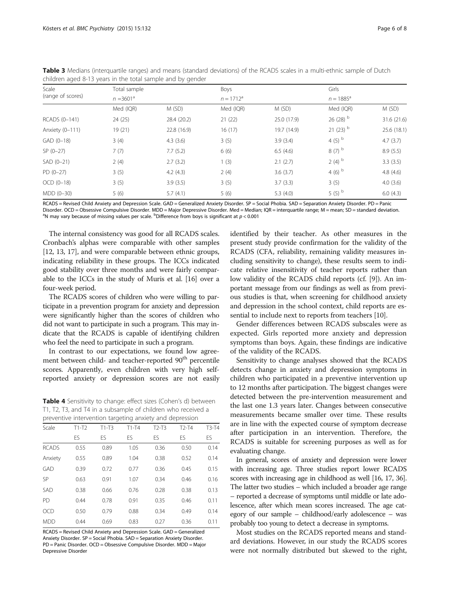| Scale             | Total sample |             |              |             | Girls                 |             |  |
|-------------------|--------------|-------------|--------------|-------------|-----------------------|-------------|--|
| (range of scores) | $n = 3601^a$ |             | $n = 1712^a$ |             | $n = 1885^{\circ}$    |             |  |
|                   | Med (IQR)    | M (SD)      | Med (IQR)    | M (SD)      | Med (IQR)             | M(SD)       |  |
| RCADS (0-141)     | 24(25)       | 28.4 (20.2) | 21(22)       | 25.0 (17.9) | $26(28)$ <sup>b</sup> | 31.6 (21.6) |  |
| Anxiety (0-111)   | 19(21)       | 22.8 (16.9) | 16(17)       | 19.7 (14.9) | $21(23)$ <sup>b</sup> | 25.6(18.1)  |  |
| $GAD (0-18)$      | 3(4)         | 4.3(3.6)    | 3(5)         | 3.9(3.4)    | 4 $(5)$ <sup>b</sup>  | 4.7(3.7)    |  |
| $SP(0-27)$        | 7(7)         | 7.7(5.2)    | 6(6)         | 6.5(4.6)    | $8(7)$ b              | 8.9(5.5)    |  |
| $SAD (0-21)$      | 2(4)         | 2.7(3.2)    | 1(3)         | 2.1(2.7)    | $2(4)$ <sup>b</sup>   | 3.3(3.5)    |  |
| $PD(0-27)$        | 3(5)         | 4.2(4.3)    | 2(4)         | 3.6(3.7)    | 4 (6) $^{\rm b}$      | 4.8(4.6)    |  |
| $OCD (0-18)$      | 3(5)         | 3.9(3.5)    | 3(5)         | 3.7(3.3)    | 3(5)                  | 4.0(3.6)    |  |
| MDD (0-30)        | 5(6)         | 5.7(4.1)    | 5(6)         | 5.3(4.0)    | 5 $(5)^b$             | 6.0(4.3)    |  |

<span id="page-5-0"></span>Table 3 Medians (interquartile ranges) and means (standard deviations) of the RCADS scales in a multi-ethnic sample of Dutch children aged 8-13 years in the total sample and by gender

RCADS = Revised Child Anxiety and Depression Scale. GAD = Generalized Anxiety Disorder. SP = Social Phobia. SAD = Separation Anxiety Disorder. PD = Panic Disorder. OCD = Obsessive Compulsive Disorder. MDD = Major Depressive Disorder. Med = Median; IQR = interquartile range; M = mean; SD = standard deviation. N may vary because of missing values per scale.  $^{\text{b}}$ Difference from boys is significant at  $p < 0.001$ 

The internal consistency was good for all RCADS scales. Cronbach's alphas were comparable with other samples [[12](#page-7-0), [13](#page-7-0), [17\]](#page-7-0), and were comparable between ethnic groups, indicating reliability in these groups. The ICCs indicated good stability over three months and were fairly comparable to the ICCs in the study of Muris et al. [\[16](#page-7-0)] over a four-week period.

The RCADS scores of children who were willing to participate in a prevention program for anxiety and depression were significantly higher than the scores of children who did not want to participate in such a program. This may indicate that the RCADS is capable of identifying children who feel the need to participate in such a program.

In contrast to our expectations, we found low agreement between child- and teacher-reported 90<sup>th</sup> percentile scores. Apparently, even children with very high selfreported anxiety or depression scores are not easily

Table 4 Sensitivity to change: effect sizes (Cohen's d) between T1, T2, T3, and T4 in a subsample of children who received a

| preventive intervention targeting anxiety and depression |         |         |         |         |         |         |  |  |  |
|----------------------------------------------------------|---------|---------|---------|---------|---------|---------|--|--|--|
| Scale                                                    | $T1-T2$ | $T1-T3$ | $T1-T4$ | $T2-T3$ | $T2-T4$ | $T3-T4$ |  |  |  |
|                                                          | FS      | FS      | FS      | FS      | FS      | ES      |  |  |  |
| <b>RCADS</b>                                             | 0.55    | 0.89    | 1.05    | 0.36    | 0.50    | 0.14    |  |  |  |
| Anxiety                                                  | 0.55    | 0.89    | 1.04    | 0.38    | 0.52    | 0.14    |  |  |  |
| GAD                                                      | 0.39    | 0.72    | 0.77    | 0.36    | 0.45    | 0.15    |  |  |  |
| SP                                                       | 0.63    | 0.91    | 1.07    | 0.34    | 0.46    | 0.16    |  |  |  |
| <b>SAD</b>                                               | 0.38    | 0.66    | 0.76    | 0.28    | 0.38    | 0.13    |  |  |  |
| <b>PD</b>                                                | 0.44    | 0.78    | 0.91    | 0.35    | 0.46    | 0.11    |  |  |  |
| OCD                                                      | 0.50    | 0.79    | 0.88    | 0.34    | 0.49    | 0.14    |  |  |  |
| <b>MDD</b>                                               | 0.44    | 0.69    | 0.83    | 0.27    | 0.36    | 0.11    |  |  |  |

RCADS = Revised Child Anxiety and Depression Scale. GAD = Generalized Anxiety Disorder. SP = Social Phobia. SAD = Separation Anxiety Disorder. PD = Panic Disorder. OCD = Obsessive Compulsive Disorder. MDD = Major Depressive Disorder

identified by their teacher. As other measures in the present study provide confirmation for the validity of the RCADS (CFA, reliability, remaining validity measures including sensitivity to change), these results seem to indicate relative insensitivity of teacher reports rather than low validity of the RCADS child reports (cf. [[9\]](#page-7-0)). An important message from our findings as well as from previous studies is that, when screening for childhood anxiety and depression in the school context, child reports are essential to include next to reports from teachers [\[10\]](#page-7-0).

Gender differences between RCADS subscales were as expected. Girls reported more anxiety and depression symptoms than boys. Again, these findings are indicative of the validity of the RCADS.

Sensitivity to change analyses showed that the RCADS detects change in anxiety and depression symptoms in children who participated in a preventive intervention up to 12 months after participation. The biggest changes were detected between the pre-intervention measurement and the last one 1.3 years later. Changes between consecutive measurements became smaller over time. These results are in line with the expected course of symptom decrease after participation in an intervention. Therefore, the RCADS is suitable for screening purposes as well as for evaluating change.

In general, scores of anxiety and depression were lower with increasing age. Three studies report lower RCADS scores with increasing age in childhood as well [\[16, 17](#page-7-0), [36](#page-7-0)]. The latter two studies – which included a broader age range – reported a decrease of symptoms until middle or late adolescence, after which mean scores increased. The age category of our sample – childhood/early adolescence – was probably too young to detect a decrease in symptoms.

Most studies on the RCADS reported means and standard deviations. However, in our study the RCADS scores were not normally distributed but skewed to the right,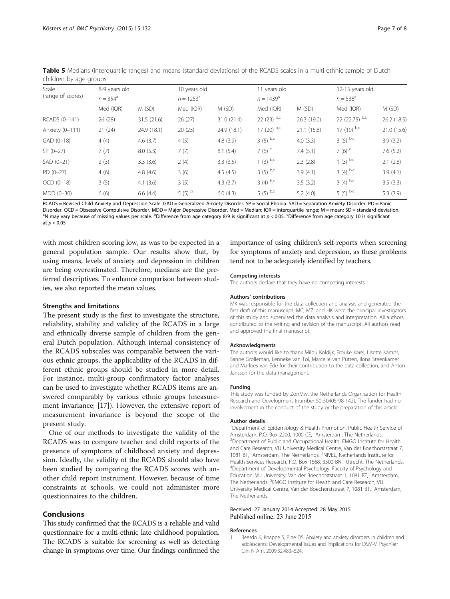| Scale             | 8-9 years old     |             | 10 years old       |             | 11 years old             |                    | 12-13 years old      |                   |  |
|-------------------|-------------------|-------------|--------------------|-------------|--------------------------|--------------------|----------------------|-------------------|--|
| (range of scores) | $n = 354^{\circ}$ |             | $n = 1253^{\circ}$ |             |                          | $n = 1439^{\circ}$ |                      | $n = 538^{\circ}$ |  |
|                   | Med (IQR)         | M(SD)       | Med (IQR)          | M(SD)       | Med (IQR)                | M(SD)              | Med (IQR)            | M(SD)             |  |
| RCADS (0-141)     | 26 (28)           | 31.5 (21.6) | 26(27)             | 31.0 (21.4) | 22 $(23)$ <sup>b,c</sup> | 26.3 (19.0)        | 22 (22.75) $b, c$    | 26.2 (18.5)       |  |
| Anxiety (0-111)   | 21(24)            | 24.9(18.1)  | 20(23)             | 24.9 (18.1) | 17 $(20)$ b,c            | 21.1 (15.8)        | 17 (19) $b, c$       | 21.0(15.6)        |  |
| GAD (0-18)        | 4(4)              | 4.6(3.7)    | 4(5)               | 4.8(3.9)    | $3(5)$ b,c               | 4.0(3.3)           | $3(5)$ b,c           | 3.9(3.2)          |  |
| $SP(0-27)$        | 7(7)              | 8.0(5.3)    | 7(7)               | 8.1(5.4)    | 7 $(6)$ <sup>c</sup>     | 7.4(5.1)           | 7 $(6)$ <sup>c</sup> | 7.6(5.2)          |  |
| $SAD (0-21)$      | 2(3)              | 3.3(3.6)    | 2(4)               | 3.3(3.5)    | $1(3)$ b,c               | 2.3(2.8)           | $(3)$ b,c            | 2.1(2.8)          |  |
| $PD(0-27)$        | 4(6)              | 4.8(4.6)    | 3(6)               | 4.5(4.5)    | $3(5)$ b,c               | 3.9(4.1)           | $3(4)$ b,c           | 3.9(4.1)          |  |
| $OCD (0-18)$      | 3(5)              | 4.1(3.6)    | 3(5)               | 4.3(3.7)    | $3(4)$ b,c               | 3.5(3.2)           | 3 $(4)$ b,c          | 3.5(3.3)          |  |
| MDD (0-30)        | 6(6)              | 6.6(4.4)    | 5 $(5)^b$          | 6.0(4.3)    | 5 (5) $b,c$              | 5.2(4.0)           | 5 (5) $b, c$         | 5.3(3.9)          |  |

<span id="page-6-0"></span>Table 5 Medians (interquartile ranges) and means (standard deviations) of the RCADS scales in a multi-ethnic sample of Dutch children by age groups

RCADS = Revised Child Anxiety and Depression Scale. GAD = Generalized Anxiety Disorder. SP = Social Phobia. SAD = Separation Anxiety Disorder. PD = Panic Disorder. OCD = Obsessive Compulsive Disorder. MDD = Major Depressive Disorder. Med = Median; IQR = interquartile range; M = mean; SD = standard deviation. N may vary because of missing values per scale. <sup>b</sup>Difference from age category 8/9 is significant at  $p < 0.05$ . <sup>c</sup>Difference from age category 10 is significant at  $p < 0.05$ 

with most children scoring low, as was to be expected in a general population sample. Our results show that, by using means, levels of anxiety and depression in children are being overestimated. Therefore, medians are the preferred descriptives. To enhance comparison between studies, we also reported the mean values.

# Strengths and limitations

The present study is the first to investigate the structure, reliability, stability and validity of the RCADS in a large and ethnically diverse sample of children from the general Dutch population. Although internal consistency of the RCADS subscales was comparable between the various ethnic groups, the applicability of the RCADS in different ethnic groups should be studied in more detail. For instance, multi-group confirmatory factor analyses can be used to investigate whether RCADS items are answered comparably by various ethnic groups (measurement invariance; [\[17](#page-7-0)]). However, the extensive report of measurement invariance is beyond the scope of the present study.

One of our methods to investigate the validity of the RCADS was to compare teacher and child reports of the presence of symptoms of childhood anxiety and depression. Ideally, the validity of the RCADS should also have been studied by comparing the RCADS scores with another child report instrument. However, because of time constraints at schools, we could not administer more questionnaires to the children.

# Conclusions

This study confirmed that the RCADS is a reliable and valid questionnaire for a multi-ethnic late childhood population. The RCADS is suitable for screening as well as detecting change in symptoms over time. Our findings confirmed the importance of using children's self-reports when screening for symptoms of anxiety and depression, as these problems tend not to be adequately identified by teachers.

#### Competing interests

The authors declare that they have no competing interests.

#### Authors' contributions

MK was responsible for the data collection and analysis and generated the first draft of this manuscript. MC, MZ, and HK were the principal investigators of this study and supervised the data analysis and interpretation. All authors contributed to the writing and revision of the manuscript. All authors read and approved the final manuscript.

#### Acknowledgments

The authors would like to thank Milou Koldijk, Frouke Karel, Lisette Kamps, Sanne Grolleman, Lenneke van Tol, Marcelle van Putten, Ilona Steenkamer and Marloes van Ede for their contribution to the data collection, and Anton Janssen for the data management.

#### Funding

This study was funded by ZonMw, the Netherlands Organisation for Health Research and Development (number 50-50405-98-142). The funder had no involvement in the conduct of the study or the preparation of this article.

#### Author details

<sup>1</sup>Department of Epidemiology & Health Promotion, Public Health Service of Amsterdam, P.O. Box 2200, 1000 CE, Amsterdam, The Netherlands. <sup>2</sup>Department of Public and Occupational Health, EMGO Institute for Health and Care Research, VU University Medical Centre, Van der Boechorststraat 7, 1081 BT, Amsterdam, The Netherlands. <sup>3</sup>NIVEL, Netherlands Institute for Health Services Research, P.O. Box 1568, 3500 BN, Utrecht, The Netherlands. 4 Department of Developmental Psychology, Faculty of Psychology and Education, VU University, Van der Boechorststraat 1, 1081 BT, Amsterdam, The Netherlands. <sup>5</sup>EMGO Institute for Health and Care Research, VU University Medical Centre, Van der Boechorststraat 7, 1081 BT, Amsterdam, The Netherlands.

#### Received: 27 January 2014 Accepted: 28 May 2015 Published online: 23 June 2015

#### References

1. Beesdo K, Knappe S, Pine DS. Anxiety and anxiety disorders in children and adolescents: Developmental issues and implications for DSM-V. Psychiatr Clin N Am. 2009;32:483–524.